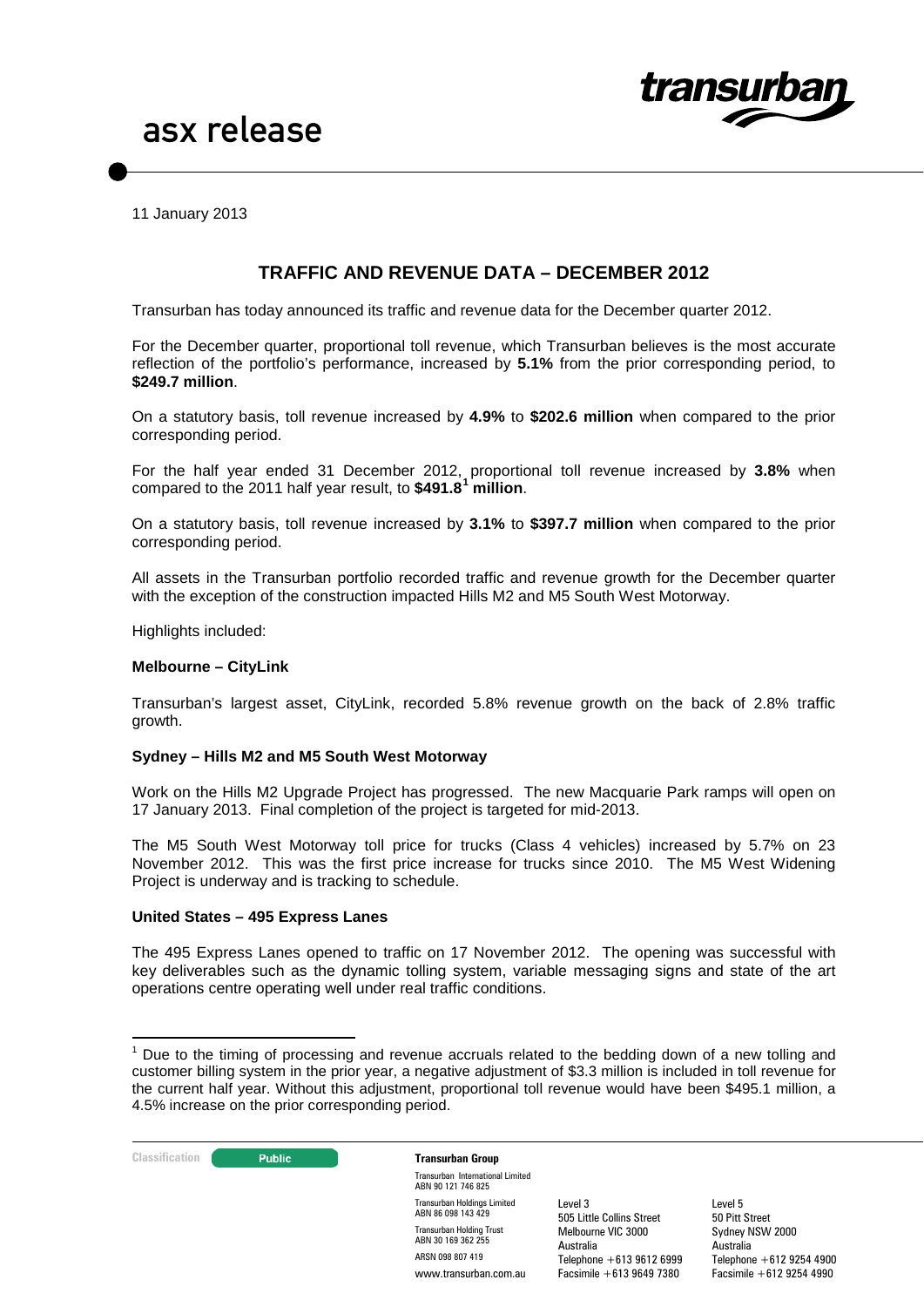

11 January 2013

# **TRAFFIC AND REVENUE DATA – DECEMBER 2012**

Transurban has today announced its traffic and revenue data for the December quarter 2012.

For the December quarter, proportional toll revenue, which Transurban believes is the most accurate reflection of the portfolio's performance, increased by **5.1%** from the prior corresponding period, to **\$249.7 million**.

On a statutory basis, toll revenue increased by **4.9%** to **\$202.6 million** when compared to the prior corresponding period.

For the half year ended 31 December 2012, proportional toll revenue increased by **3.8%** when compared to the 2011 half year result, to **\$491.8[1](#page-0-0) million**.

On a statutory basis, toll revenue increased by **3.1%** to **\$397.7 million** when compared to the prior corresponding period.

All assets in the Transurban portfolio recorded traffic and revenue growth for the December quarter with the exception of the construction impacted Hills M2 and M5 South West Motorway.

Highlights included:

#### **Melbourne – CityLink**

Transurban's largest asset, CityLink, recorded 5.8% revenue growth on the back of 2.8% traffic growth.

#### **Sydney – Hills M2 and M5 South West Motorway**

Work on the Hills M2 Upgrade Project has progressed. The new Macquarie Park ramps will open on 17 January 2013. Final completion of the project is targeted for mid-2013.

The M5 South West Motorway toll price for trucks (Class 4 vehicles) increased by 5.7% on 23 November 2012. This was the first price increase for trucks since 2010. The M5 West Widening Project is underway and is tracking to schedule.

#### **United States – 495 Express Lanes**

The 495 Express Lanes opened to traffic on 17 November 2012. The opening was successful with key deliverables such as the dynamic tolling system, variable messaging signs and state of the art operations centre operating well under real traffic conditions.

<span id="page-0-0"></span> $1$  Due to the timing of processing and revenue accruals related to the bedding down of a new tolling and customer billing system in the prior year, a negative adjustment of \$3.3 million is included in toll revenue for the current half year. Without this adjustment, proportional toll revenue would have been \$495.1 million, a 4.5% increase on the prior corresponding period.



Transurban International Limited ABN 90 121 746 825 Transurban Holdings Limited ABN 86 098 143 429 Transurban Holding Trust ABN 30 169 362 255 ARSN 098 807 419 www.transurban.com.au

Level 3 505 Little Collins Street Melbourne VIC 3000 Australia Telephone +613 9612 6999 Facsimile +613 9649 7380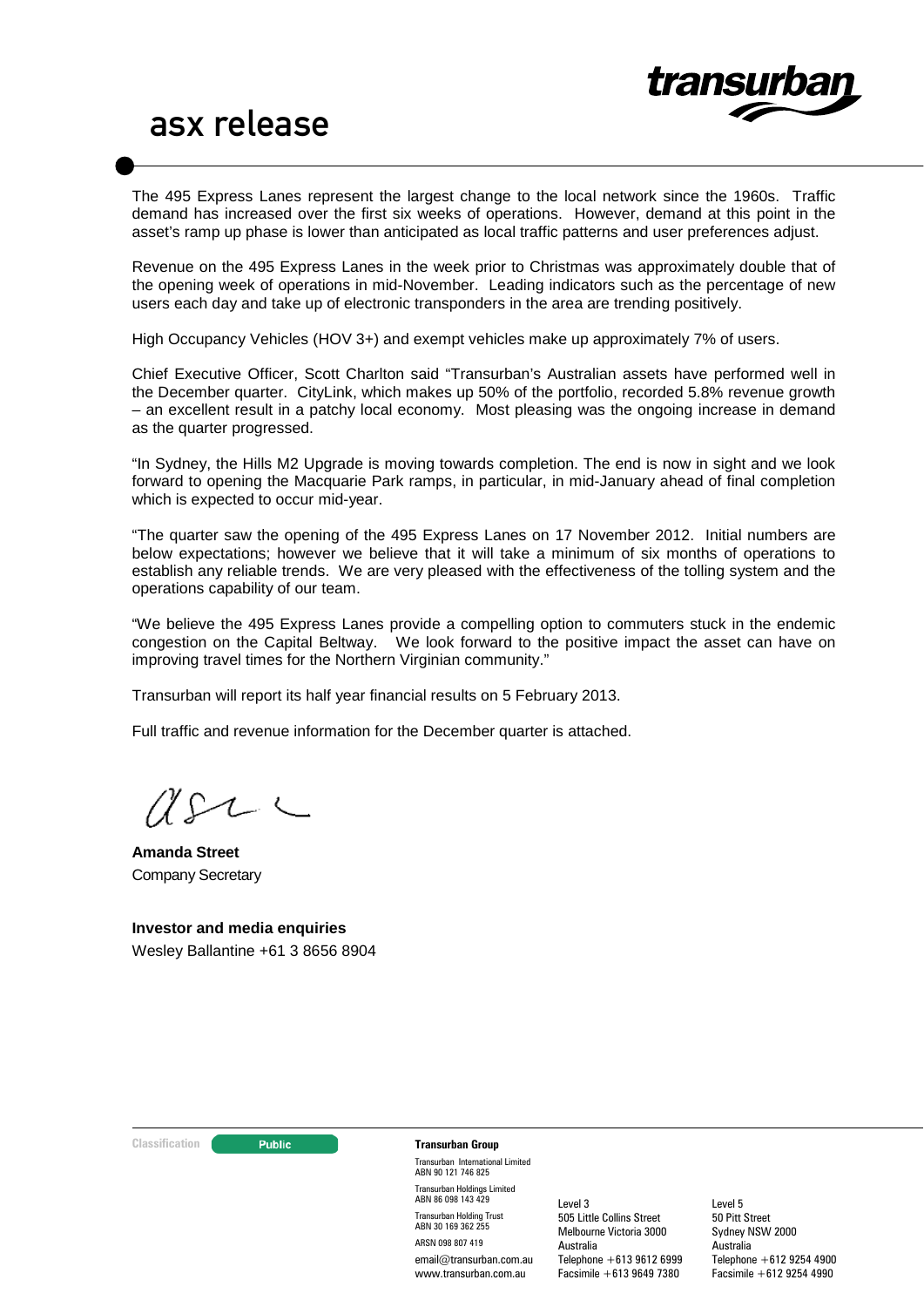

The 495 Express Lanes represent the largest change to the local network since the 1960s. Traffic demand has increased over the first six weeks of operations. However, demand at this point in the asset's ramp up phase is lower than anticipated as local traffic patterns and user preferences adjust.

Revenue on the 495 Express Lanes in the week prior to Christmas was approximately double that of the opening week of operations in mid-November. Leading indicators such as the percentage of new users each day and take up of electronic transponders in the area are trending positively.

High Occupancy Vehicles (HOV 3+) and exempt vehicles make up approximately 7% of users.

Chief Executive Officer, Scott Charlton said "Transurban's Australian assets have performed well in the December quarter. CityLink, which makes up 50% of the portfolio, recorded 5.8% revenue growth – an excellent result in a patchy local economy. Most pleasing was the ongoing increase in demand as the quarter progressed.

"In Sydney, the Hills M2 Upgrade is moving towards completion. The end is now in sight and we look forward to opening the Macquarie Park ramps, in particular, in mid-January ahead of final completion which is expected to occur mid-year.

"The quarter saw the opening of the 495 Express Lanes on 17 November 2012. Initial numbers are below expectations; however we believe that it will take a minimum of six months of operations to establish any reliable trends. We are very pleased with the effectiveness of the tolling system and the operations capability of our team.

"We believe the 495 Express Lanes provide a compelling option to commuters stuck in the endemic congestion on the Capital Beltway. We look forward to the positive impact the asset can have on improving travel times for the Northern Virginian community."

Transurban will report its half year financial results on 5 February 2013.

Full traffic and revenue information for the December quarter is attached.

71 S

**Amanda Street** Company Secretary

**Investor and media enquiries** Wesley Ballantine +61 3 8656 8904



#### **Classification Construction Transurban Group**

Transurban International Limited ABN 90 121 746 825 Transurban Holdings Limited ABN 86 098 143 429 Transurban Holding Trust ABN 30 169 362 255 ARSN 098 807 419 email@transurban.com.au www.transurban.com.au

Level 3 505 Little Collins Street Melbourne Victoria 3000 Australia Telephone +613 9612 6999 Facsimile +613 9649 7380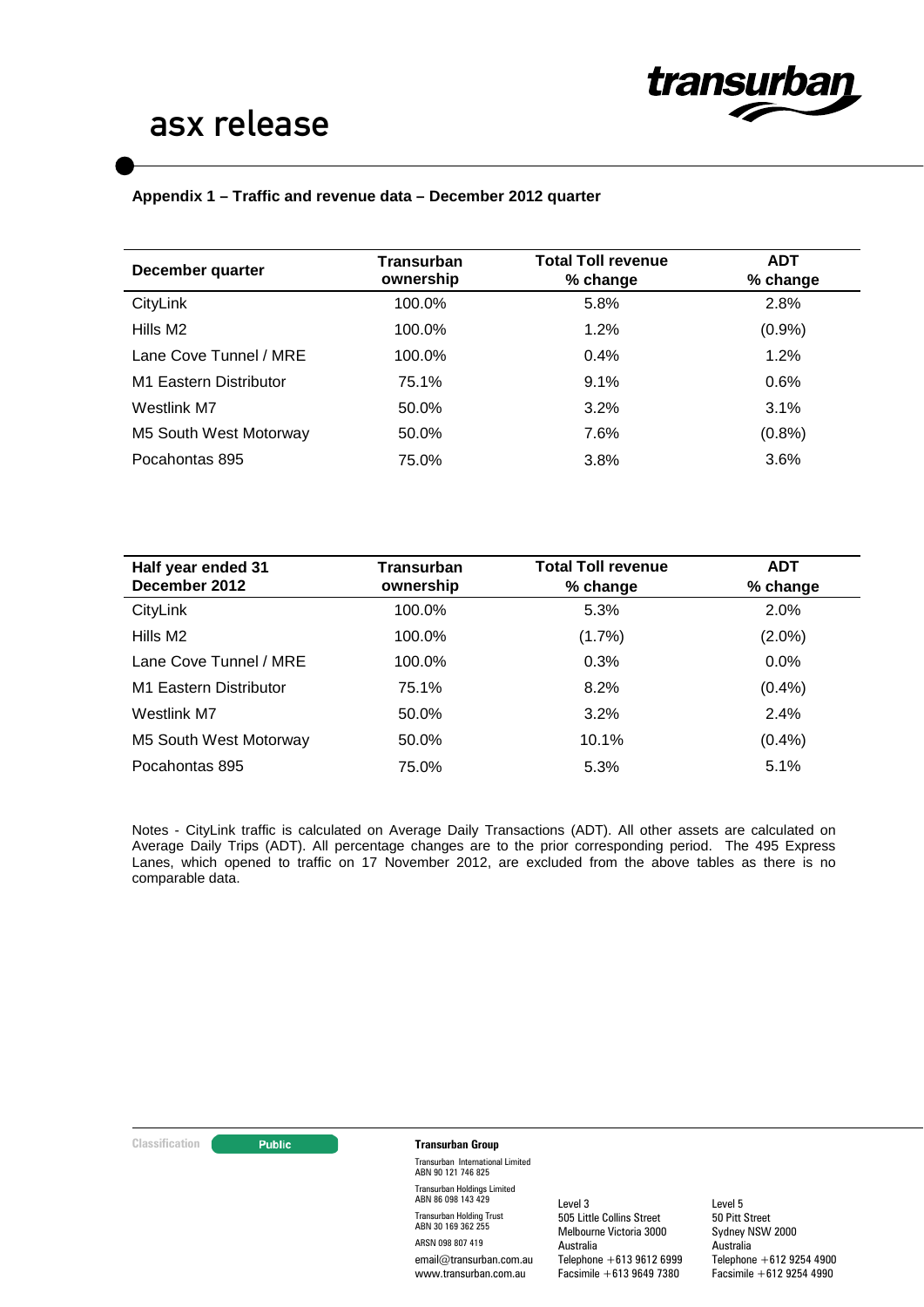

# **Appendix 1 – Traffic and revenue data – December 2012 quarter**

| December quarter       | <b>Transurban</b><br>ownership | <b>Total Toll revenue</b><br>$%$ change | <b>ADT</b><br>% change |
|------------------------|--------------------------------|-----------------------------------------|------------------------|
| CityLink               | 100.0%                         | 5.8%                                    | 2.8%                   |
| Hills M2               | 100.0%                         | 1.2%                                    | (0.9%                  |
| Lane Cove Tunnel / MRE | 100.0%                         | 0.4%                                    | 1.2%                   |
| M1 Eastern Distributor | 75.1%                          | 9.1%                                    | 0.6%                   |
| Westlink M7            | 50.0%                          | 3.2%                                    | 3.1%                   |
| M5 South West Motorway | 50.0%                          | 7.6%                                    | (0.8% )                |
| Pocahontas 895         | 75.0%                          | 3.8%                                    | 3.6%                   |

| Half year ended 31<br>December 2012 | Transurban<br>ownership | <b>Total Toll revenue</b><br>% change | <b>ADT</b><br>% change |
|-------------------------------------|-------------------------|---------------------------------------|------------------------|
| CityLink                            | 100.0%                  | 5.3%                                  | 2.0%                   |
| Hills M2                            | 100.0%                  | $(1.7\%)$                             | $(2.0\%)$              |
| Lane Cove Tunnel / MRE              | 100.0%                  | 0.3%                                  | 0.0%                   |
| M1 Eastern Distributor              | 75.1%                   | 8.2%                                  | (0.4% )                |
| Westlink M7                         | 50.0%                   | 3.2%                                  | 2.4%                   |
| M5 South West Motorway              | 50.0%                   | 10.1%                                 | (0.4% )                |
| Pocahontas 895                      | 75.0%                   | 5.3%                                  | 5.1%                   |

Notes - CityLink traffic is calculated on Average Daily Transactions (ADT). All other assets are calculated on Average Daily Trips (ADT). All percentage changes are to the prior corresponding period. The 495 Express Lanes, which opened to traffic on 17 November 2012, are excluded from the above tables as there is no comparable data.

#### **Classification Transurban Group**

Transurban International Limited ABN 90 121 746 825 Transurban Holdings Limited ABN 86 098 143 429 Transurban Holding Trust ABN 30 169 362 255 ARSN 098 807 419 email@transurban.com.au www.transurban.com.au

Level 3 505 Little Collins Street Melbourne Victoria 3000 Australia Telephone +613 9612 6999 Facsimile +613 9649 7380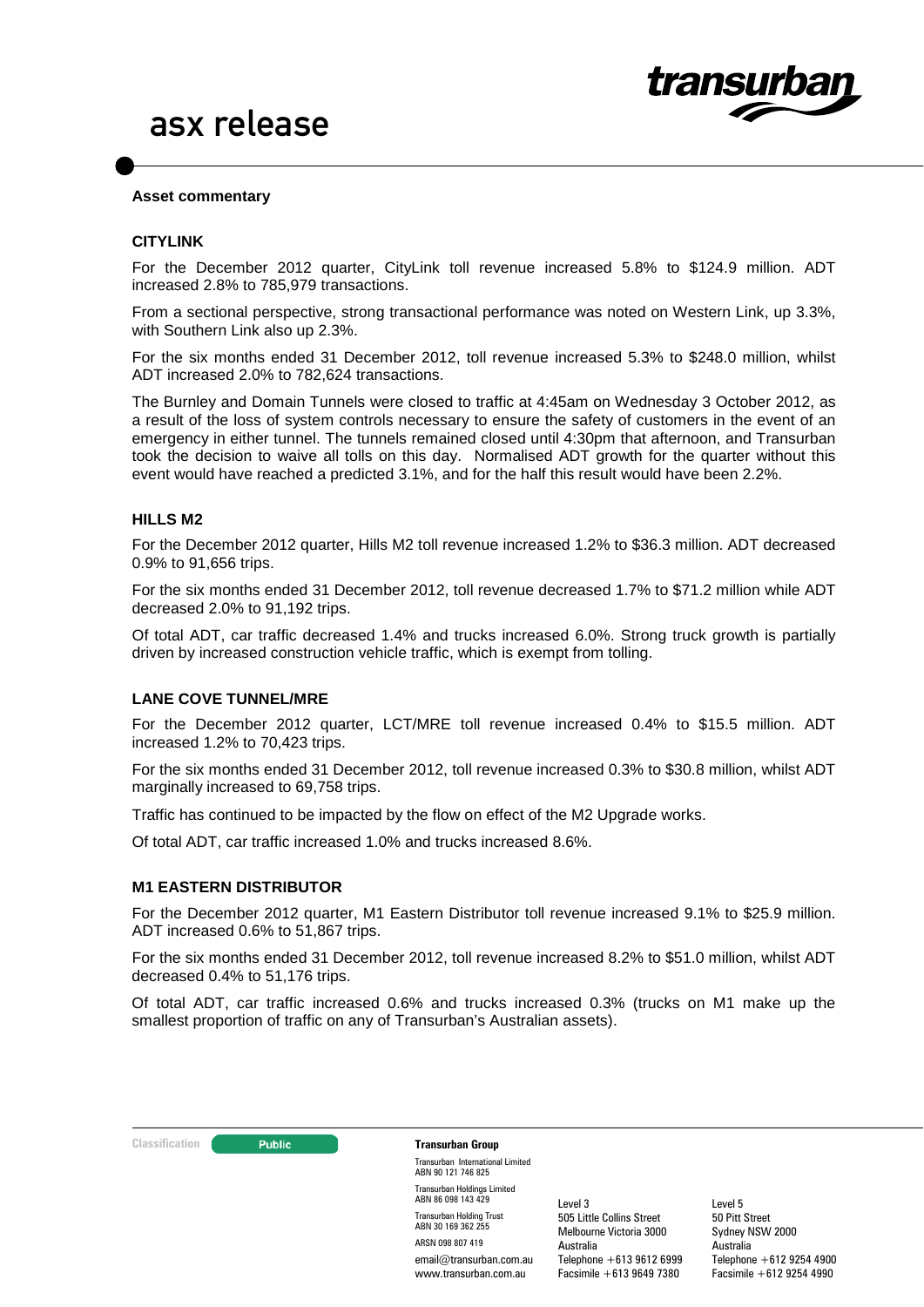

### **Asset commentary**

### **CITYLINK**

For the December 2012 quarter, CityLink toll revenue increased 5.8% to \$124.9 million. ADT increased 2.8% to 785,979 transactions.

From a sectional perspective, strong transactional performance was noted on Western Link, up 3.3%, with Southern Link also up 2.3%.

For the six months ended 31 December 2012, toll revenue increased 5.3% to \$248.0 million, whilst ADT increased 2.0% to 782,624 transactions.

The Burnley and Domain Tunnels were closed to traffic at 4:45am on Wednesday 3 October 2012, as a result of the loss of system controls necessary to ensure the safety of customers in the event of an emergency in either tunnel. The tunnels remained closed until 4:30pm that afternoon, and Transurban took the decision to waive all tolls on this day. Normalised ADT growth for the quarter without this event would have reached a predicted 3.1%, and for the half this result would have been 2.2%.

### **HILLS M2**

For the December 2012 quarter, Hills M2 toll revenue increased 1.2% to \$36.3 million. ADT decreased 0.9% to 91,656 trips.

For the six months ended 31 December 2012, toll revenue decreased 1.7% to \$71.2 million while ADT decreased 2.0% to 91,192 trips.

Of total ADT, car traffic decreased 1.4% and trucks increased 6.0%. Strong truck growth is partially driven by increased construction vehicle traffic, which is exempt from tolling.

# **LANE COVE TUNNEL/MRE**

For the December 2012 quarter, LCT/MRE toll revenue increased 0.4% to \$15.5 million. ADT increased 1.2% to 70,423 trips.

For the six months ended 31 December 2012, toll revenue increased 0.3% to \$30.8 million, whilst ADT marginally increased to 69,758 trips.

Traffic has continued to be impacted by the flow on effect of the M2 Upgrade works.

Of total ADT, car traffic increased 1.0% and trucks increased 8.6%.

# **M1 EASTERN DISTRIBUTOR**

For the December 2012 quarter, M1 Eastern Distributor toll revenue increased 9.1% to \$25.9 million. ADT increased 0.6% to 51,867 trips.

For the six months ended 31 December 2012, toll revenue increased 8.2% to \$51.0 million, whilst ADT decreased 0.4% to 51,176 trips.

Of total ADT, car traffic increased 0.6% and trucks increased 0.3% (trucks on M1 make up the smallest proportion of traffic on any of Transurban's Australian assets).

#### **Classification Constitution Transurban Group**

Transurban International Limited ABN 90 121 746 825 Transurban Holdings Limited ABN 86 098 143 429 Transurban Holding Trust ABN 30 169 362 255 ARSN 098 807 419 email@transurban.com.au www.transurban.com.au

Level 3 505 Little Collins Street Melbourne Victoria 3000 Australia Telephone +613 9612 6999 Facsimile +613 9649 7380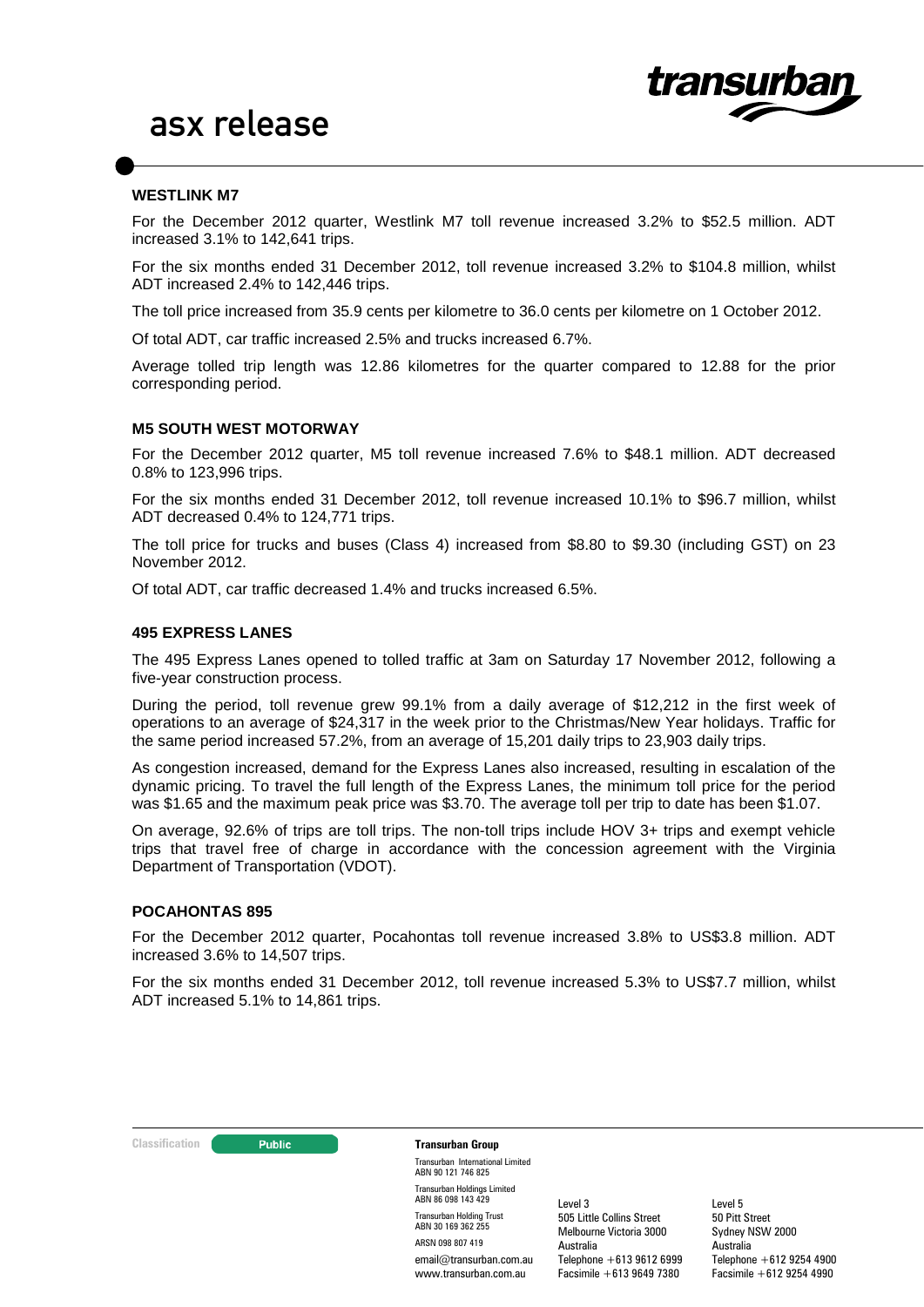

## **WESTLINK M7**

For the December 2012 quarter, Westlink M7 toll revenue increased 3.2% to \$52.5 million. ADT increased 3.1% to 142,641 trips.

For the six months ended 31 December 2012, toll revenue increased 3.2% to \$104.8 million, whilst ADT increased 2.4% to 142,446 trips.

The toll price increased from 35.9 cents per kilometre to 36.0 cents per kilometre on 1 October 2012.

Of total ADT, car traffic increased 2.5% and trucks increased 6.7%.

Average tolled trip length was 12.86 kilometres for the quarter compared to 12.88 for the prior corresponding period.

#### **M5 SOUTH WEST MOTORWAY**

For the December 2012 quarter, M5 toll revenue increased 7.6% to \$48.1 million. ADT decreased 0.8% to 123,996 trips.

For the six months ended 31 December 2012, toll revenue increased 10.1% to \$96.7 million, whilst ADT decreased 0.4% to 124,771 trips.

The toll price for trucks and buses (Class 4) increased from \$8.80 to \$9.30 (including GST) on 23 November 2012.

Of total ADT, car traffic decreased 1.4% and trucks increased 6.5%.

#### **495 EXPRESS LANES**

The 495 Express Lanes opened to tolled traffic at 3am on Saturday 17 November 2012, following a five-year construction process.

During the period, toll revenue grew 99.1% from a daily average of \$12,212 in the first week of operations to an average of \$24,317 in the week prior to the Christmas/New Year holidays. Traffic for the same period increased 57.2%, from an average of 15,201 daily trips to 23,903 daily trips.

As congestion increased, demand for the Express Lanes also increased, resulting in escalation of the dynamic pricing. To travel the full length of the Express Lanes, the minimum toll price for the period was \$1.65 and the maximum peak price was \$3.70. The average toll per trip to date has been \$1.07.

On average, 92.6% of trips are toll trips. The non-toll trips include HOV 3+ trips and exempt vehicle trips that travel free of charge in accordance with the concession agreement with the Virginia Department of Transportation (VDOT).

#### **POCAHONTAS 895**

For the December 2012 quarter, Pocahontas toll revenue increased 3.8% to US\$3.8 million. ADT increased 3.6% to 14,507 trips.

For the six months ended 31 December 2012, toll revenue increased 5.3% to US\$7.7 million, whilst ADT increased 5.1% to 14,861 trips.

#### **Classification Construction Transurban Group**

Transurban International Limited ABN 90 121 746 825 Transurban Holdings Limited ABN 86 098 143 429 Transurban Holding Trust ABN 30 169 362 255 ARSN 098 807 419 email@transurban.com.au www.transurban.com.au

Level 3 505 Little Collins Street Melbourne Victoria 3000 Australia Telephone +613 9612 6999 Facsimile +613 9649 7380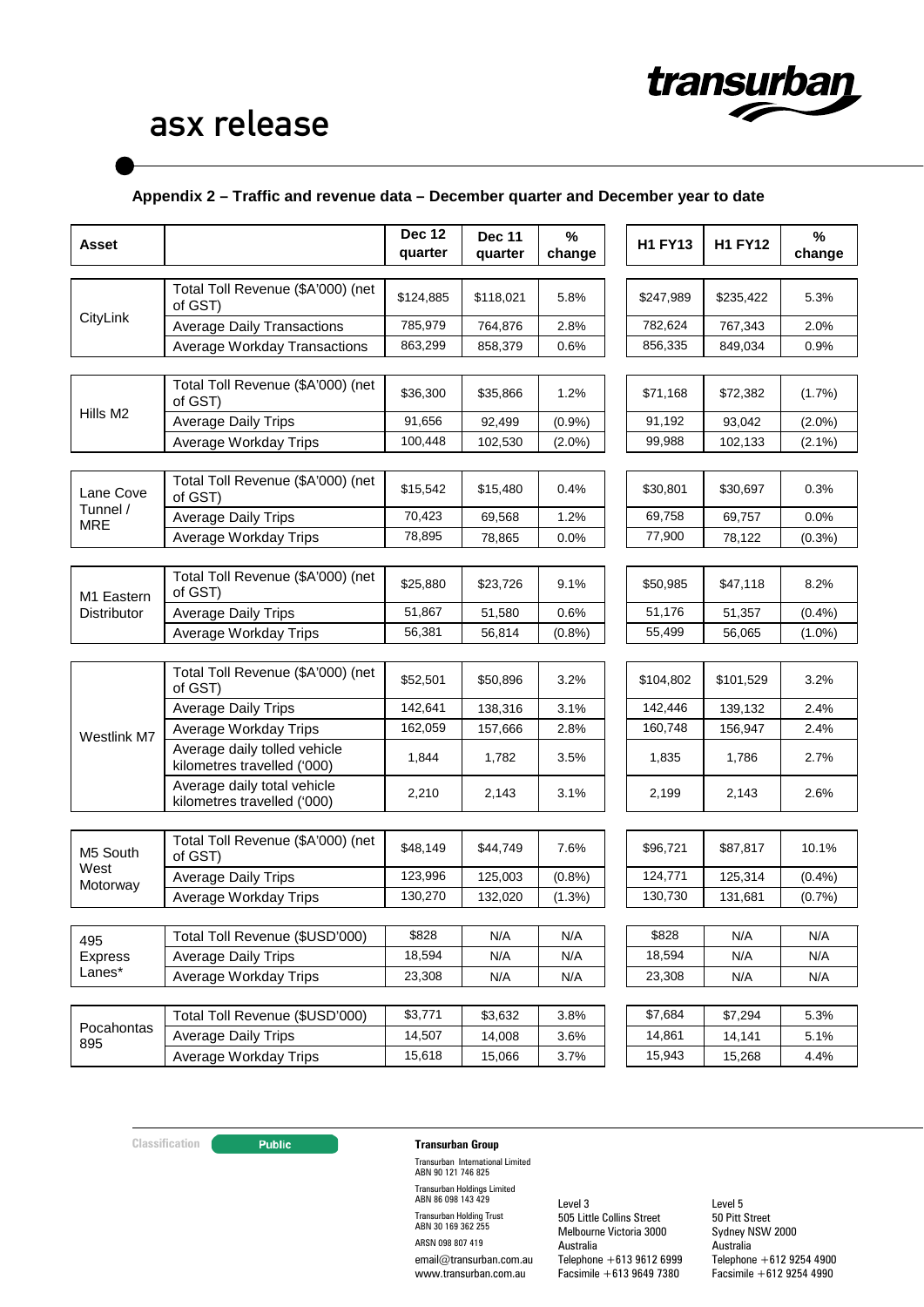

# **Appendix 2 – Traffic and revenue data – December quarter and December year to date**

| Asset                     |                                                             | <b>Dec 12</b><br>quarter | <b>Dec 11</b><br>quarter | %<br>change | <b>H1 FY13</b> | <b>H1 FY12</b> | %<br>change |
|---------------------------|-------------------------------------------------------------|--------------------------|--------------------------|-------------|----------------|----------------|-------------|
|                           |                                                             |                          |                          |             |                |                |             |
| CityLink                  | Total Toll Revenue (\$A'000) (net<br>of GST)                | \$124,885                | \$118,021                | 5.8%        | \$247,989      | \$235,422      | 5.3%        |
|                           | <b>Average Daily Transactions</b>                           | 785,979                  | 764,876                  | 2.8%        | 782,624        | 767,343        | 2.0%        |
|                           | Average Workday Transactions                                | 863,299                  | 858,379                  | 0.6%        | 856,335        | 849,034        | 0.9%        |
|                           |                                                             |                          |                          |             |                |                |             |
|                           | Total Toll Revenue (\$A'000) (net<br>of GST)                | \$36,300                 | \$35,866                 | 1.2%        | \$71,168       | \$72,382       | $(1.7\%)$   |
| Hills M2                  | <b>Average Daily Trips</b>                                  | 91.656                   | 92,499                   | (0.9%       | 91,192         | 93,042         | $(2.0\%)$   |
|                           | Average Workday Trips                                       | 100,448                  | 102,530                  | $(2.0\%)$   | 99,988         | 102,133        | $(2.1\%)$   |
|                           |                                                             |                          |                          |             |                |                |             |
| Lane Cove                 | Total Toll Revenue (\$A'000) (net<br>of GST)                | \$15,542                 | \$15,480                 | 0.4%        | \$30,801       | \$30,697       | 0.3%        |
| Tunnel /<br><b>MRE</b>    | <b>Average Daily Trips</b>                                  | 70,423                   | 69,568                   | 1.2%        | 69,758         | 69,757         | 0.0%        |
|                           | Average Workday Trips                                       | 78,895                   | 78,865                   | 0.0%        | 77,900         | 78,122         | $(0.3\%)$   |
|                           |                                                             |                          |                          |             |                |                |             |
| M1 Eastern<br>Distributor | Total Toll Revenue (\$A'000) (net<br>of GST)                | \$25,880                 | \$23,726                 | 9.1%        | \$50,985       | \$47,118       | 8.2%        |
|                           | <b>Average Daily Trips</b>                                  | 51,867                   | 51,580                   | 0.6%        | 51,176         | 51,357         | $(0.4\%)$   |
|                           | Average Workday Trips                                       | 56,381                   | 56,814                   | (0.8%       | 55,499         | 56,065         | $(1.0\%)$   |
|                           |                                                             |                          |                          |             |                |                |             |
| Westlink M7               | Total Toll Revenue (\$A'000) (net<br>of GST)                | \$52,501                 | \$50,896                 | 3.2%        | \$104,802      | \$101,529      | 3.2%        |
|                           | <b>Average Daily Trips</b>                                  | 142,641                  | 138,316                  | 3.1%        | 142,446        | 139,132        | 2.4%        |
|                           | Average Workday Trips                                       | 162,059                  | 157,666                  | 2.8%        | 160,748        | 156,947        | 2.4%        |
|                           | Average daily tolled vehicle<br>kilometres travelled ('000) | 1,844                    | 1,782                    | 3.5%        | 1,835          | 1,786          | 2.7%        |
|                           | Average daily total vehicle<br>kilometres travelled ('000)  | 2,210                    | 2,143                    | 3.1%        | 2,199          | 2,143          | 2.6%        |
|                           |                                                             |                          |                          |             |                |                |             |
| M5 South                  | Total Toll Revenue (\$A'000) (net<br>of GST)                | \$48.149                 | \$44,749                 | 7.6%        | \$96,721       | \$87,817       | 10.1%       |
| West<br>Motorway          | <b>Average Daily Trips</b>                                  | 123,996                  | 125,003                  | (0.8%       | 124,771        | 125,314        | (0.4%       |
|                           | Average Workday Trips                                       | 130,270                  | 132,020                  | $(1.3\%)$   | 130,730        | 131,681        | (0.7%       |
|                           |                                                             |                          |                          |             |                |                |             |
| 495                       | Total Toll Revenue (\$USD'000)                              | \$828                    | N/A                      | N/A         | \$828          | N/A            | N/A         |
| <b>Express</b>            | <b>Average Daily Trips</b>                                  | 18,594                   | N/A                      | N/A         | 18,594         | N/A            | N/A         |
| Lanes*                    | Average Workday Trips                                       | 23,308                   | N/A                      | N/A         | 23,308         | N/A            | N/A         |
|                           |                                                             |                          |                          |             |                |                |             |
|                           | Total Toll Revenue (\$USD'000)                              | \$3,771                  | \$3,632                  | 3.8%        | \$7,684        | \$7,294        | 5.3%        |
| Pocahontas<br>895         | <b>Average Daily Trips</b>                                  | 14,507                   | 14,008                   | 3.6%        | 14,861         | 14,141         | 5.1%        |
|                           | Average Workday Trips                                       | 15,618                   | 15,066                   | 3.7%        | 15,943         | 15,268         | 4.4%        |

# **Classification Transurban Group**

Transurban International Limited ABN 90 121 746 825 Transurban Holdings Limited ABN 86 098 143 429 Transurban Holding Trust ABN 30 169 362 255 ARSN 098 807 419 email@transurban.com.au www.transurban.com.au

Level 3 505 Little Collins Street Melbourne Victoria 3000 Australia Telephone +613 9612 6999 Facsimile +613 9649 7380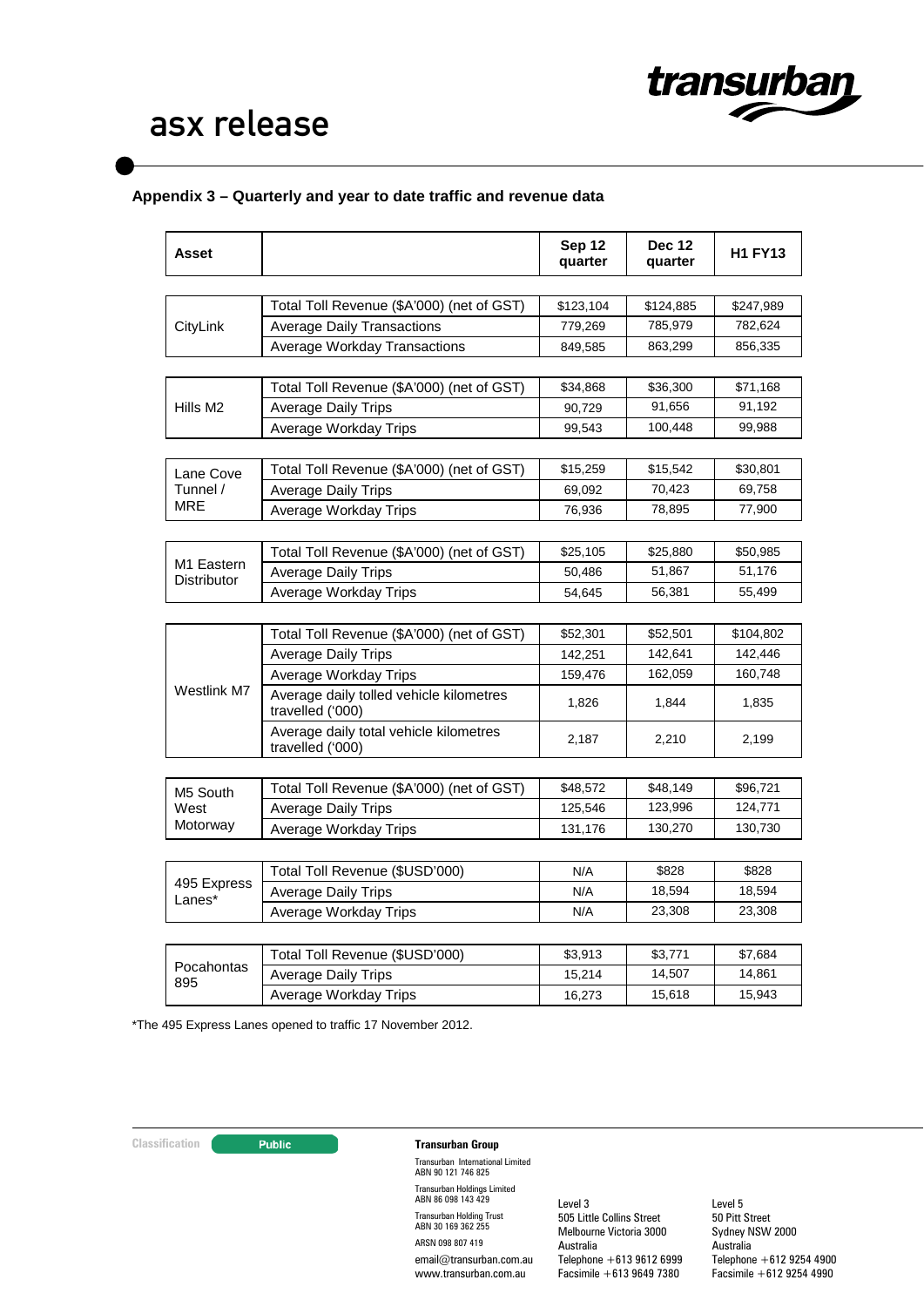

# **Appendix 3 – Quarterly and year to date traffic and revenue data**

| Total Toll Revenue (\$A'000) (net of GST)<br>CityLink<br><b>Average Daily Transactions</b><br>Average Workday Transactions | \$123,104<br>779,269<br>849,585<br>\$34,868<br>90,729 | \$124,885<br>785,979<br>863,299<br>\$36,300<br>91,656 | \$247,989<br>782,624<br>856,335 |
|----------------------------------------------------------------------------------------------------------------------------|-------------------------------------------------------|-------------------------------------------------------|---------------------------------|
|                                                                                                                            |                                                       |                                                       |                                 |
|                                                                                                                            |                                                       |                                                       |                                 |
|                                                                                                                            |                                                       |                                                       |                                 |
|                                                                                                                            |                                                       |                                                       |                                 |
|                                                                                                                            |                                                       |                                                       |                                 |
| Total Toll Revenue (\$A'000) (net of GST)                                                                                  |                                                       |                                                       | \$71,168                        |
| Hills M <sub>2</sub><br><b>Average Daily Trips</b>                                                                         |                                                       |                                                       | 91,192                          |
| Average Workday Trips                                                                                                      | 99,543                                                | 100,448                                               | 99,988                          |
| Total Toll Revenue (\$A'000) (net of GST)<br>Lane Cove                                                                     | \$15,259                                              | \$15,542                                              | \$30,801                        |
| Tunnel /<br><b>Average Daily Trips</b>                                                                                     | 69,092                                                | 70,423                                                | 69,758                          |
| MRE<br>Average Workday Trips                                                                                               | 76,936                                                | 78,895                                                | 77,900                          |
|                                                                                                                            |                                                       |                                                       |                                 |
| Total Toll Revenue (\$A'000) (net of GST)                                                                                  | \$25,105                                              | \$25,880                                              | \$50,985                        |
| M1 Eastern<br><b>Average Daily Trips</b><br>Distributor                                                                    | 50,486                                                | 51,867                                                | 51,176                          |
| Average Workday Trips                                                                                                      | 54,645                                                | 56,381                                                | 55,499                          |
|                                                                                                                            |                                                       |                                                       |                                 |
| Total Toll Revenue (\$A'000) (net of GST)                                                                                  | \$52,301                                              | \$52,501                                              | \$104,802                       |
| <b>Average Daily Trips</b>                                                                                                 | 142,251                                               | 142,641                                               | 142,446                         |
| Average Workday Trips                                                                                                      | 159,476                                               | 162,059                                               | 160,748                         |
| Westlink M7<br>Average daily tolled vehicle kilometres<br>travelled ('000)                                                 | 1,826                                                 | 1,844                                                 | 1,835                           |
| Average daily total vehicle kilometres<br>travelled ('000)                                                                 | 2,187                                                 | 2,210                                                 | 2,199                           |
|                                                                                                                            |                                                       |                                                       |                                 |
| Total Toll Revenue (\$A'000) (net of GST)<br>M5 South                                                                      | \$48,572                                              | \$48,149                                              | \$96,721                        |
| <b>Average Daily Trips</b><br>West                                                                                         | 125,546                                               | 123,996                                               | 124,771                         |
| Motorway<br>Average Workday Trips                                                                                          | 131,176                                               | 130,270                                               | 130,730                         |
|                                                                                                                            |                                                       |                                                       |                                 |
| Total Toll Revenue (\$USD'000)<br>495 Express                                                                              | N/A                                                   | \$828                                                 | \$828                           |
| <b>Average Daily Trips</b><br>Lanes*                                                                                       | N/A                                                   | 18,594                                                | 18,594                          |
| Average Workday Trips                                                                                                      | N/A                                                   | 23,308                                                | 23,308                          |
| Total Toll Revenue (\$USD'000)                                                                                             | \$3,913                                               | \$3,771                                               | \$7,684                         |
| Pocahontas<br><b>Average Daily Trips</b>                                                                                   | 15,214                                                | 14,507                                                | 14,861                          |
| 895<br>Average Workday Trips                                                                                               | 16,273                                                | 15,618                                                | 15,943                          |

\*The 495 Express Lanes opened to traffic 17 November 2012.

# **Classification Transurban Group**

Transurban International Limited ABN 90 121 746 825 Transurban Holdings Limited ABN 86 098 143 429 Transurban Holding Trust ABN 30 169 362 255 ARSN 098 807 419 email@transurban.com.au www.transurban.com.au

Level 3 505 Little Collins Street Melbourne Victoria 3000 Australia Telephone +613 9612 6999 Facsimile +613 9649 7380